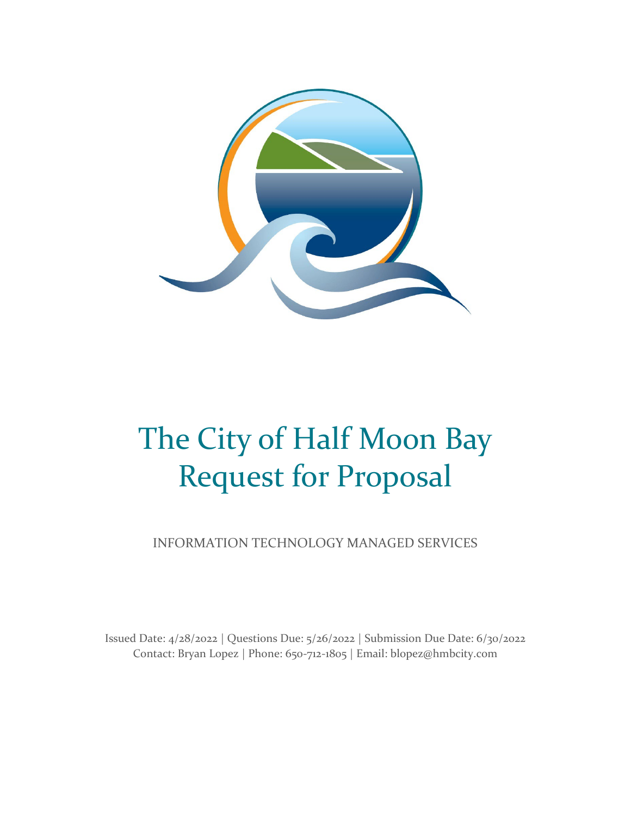

# The City of Half Moon Bay Request for Proposal

INFORMATION TECHNOLOGY MANAGED SERVICES

Issued Date: 4/28/2022 | Questions Due: 5/26/2022 | Submission Due Date: 6/30/2022 Contact: Bryan Lopez | Phone: 650-712-1805 | Email: blopez@hmbcity.com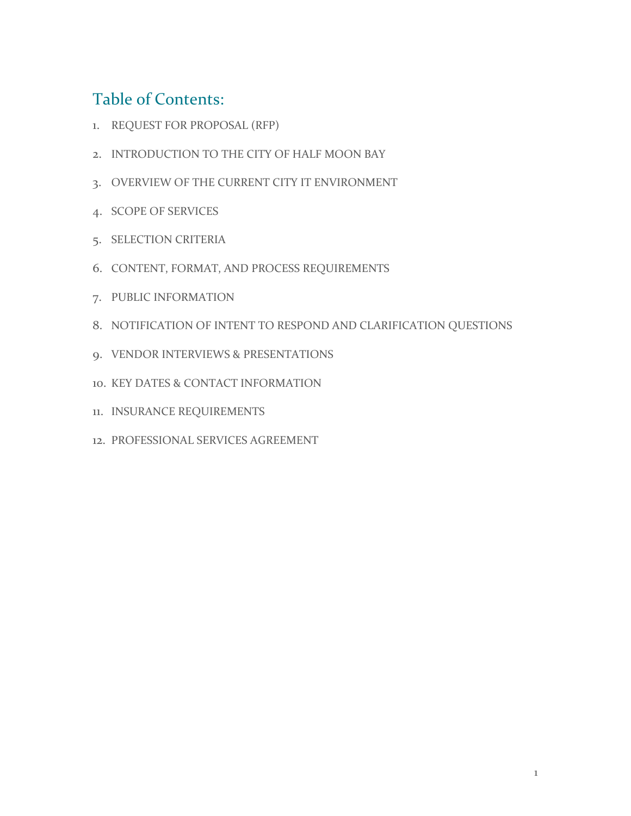## Table of Contents:

- 1. REQUEST FOR PROPOSAL (RFP)
- 2. INTRODUCTION TO THE CITY OF HALF MOON BAY
- 3. OVERVIEW OF THE CURRENT CITY IT ENVIRONMENT
- 4. SCOPE OF SERVICES
- 5. SELECTION CRITERIA
- 6. CONTENT, FORMAT, AND PROCESS REQUIREMENTS
- 7. PUBLIC INFORMATION
- 8. NOTIFICATION OF INTENT TO RESPOND AND CLARIFICATION QUESTIONS
- 9. VENDOR INTERVIEWS & PRESENTATIONS
- 10. KEY DATES & CONTACT INFORMATION
- 11. INSURANCE REQUIREMENTS
- 12. PROFESSIONAL SERVICES AGREEMENT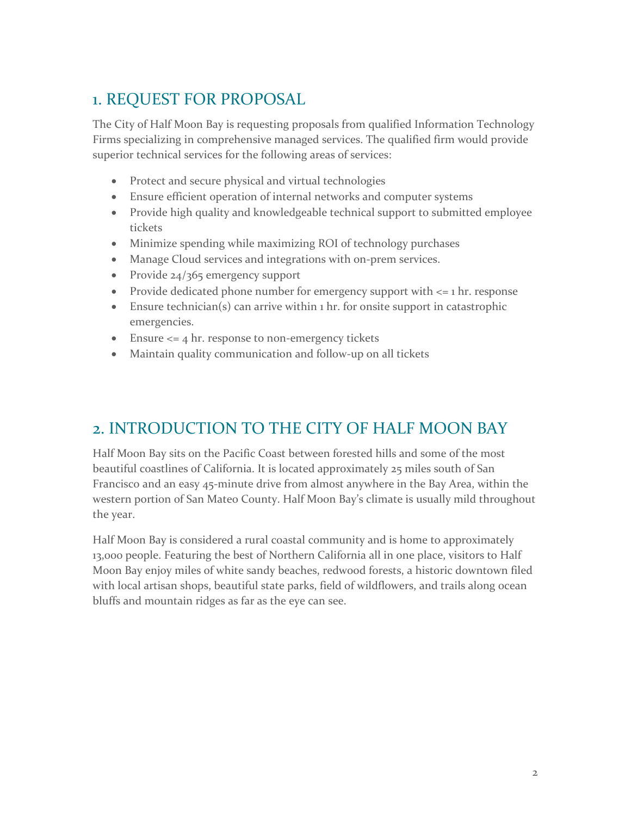## 1. REQUEST FOR PROPOSAL

The City of Half Moon Bay is requesting proposals from qualified Information Technology Firms specializing in comprehensive managed services. The qualified firm would provide superior technical services for the following areas of services:

- Protect and secure physical and virtual technologies
- Ensure efficient operation of internal networks and computer systems
- Provide high quality and knowledgeable technical support to submitted employee tickets
- Minimize spending while maximizing ROI of technology purchases
- Manage Cloud services and integrations with on-prem services.
- Provide 24/365 emergency support
- Provide dedicated phone number for emergency support with <= 1 hr. response
- Ensure technician(s) can arrive within 1 hr. for onsite support in catastrophic emergencies.
- Ensure  $\leq$  4 hr. response to non-emergency tickets
- Maintain quality communication and follow-up on all tickets

#### 2. INTRODUCTION TO THE CITY OF HALF MOON BAY

Half Moon Bay sits on the Pacific Coast between forested hills and some of the most beautiful coastlines of California. It is located approximately 25 miles south of San Francisco and an easy 45-minute drive from almost anywhere in the Bay Area, within the western portion of San Mateo County. Half Moon Bay's climate is usually mild throughout the year.

Half Moon Bay is considered a rural coastal community and is home to approximately 13,000 people. Featuring the best of Northern California all in one place, visitors to Half Moon Bay enjoy miles of white sandy beaches, redwood forests, a historic downtown filed with local artisan shops, beautiful state parks, field of wildflowers, and trails along ocean bluffs and mountain ridges as far as the eye can see.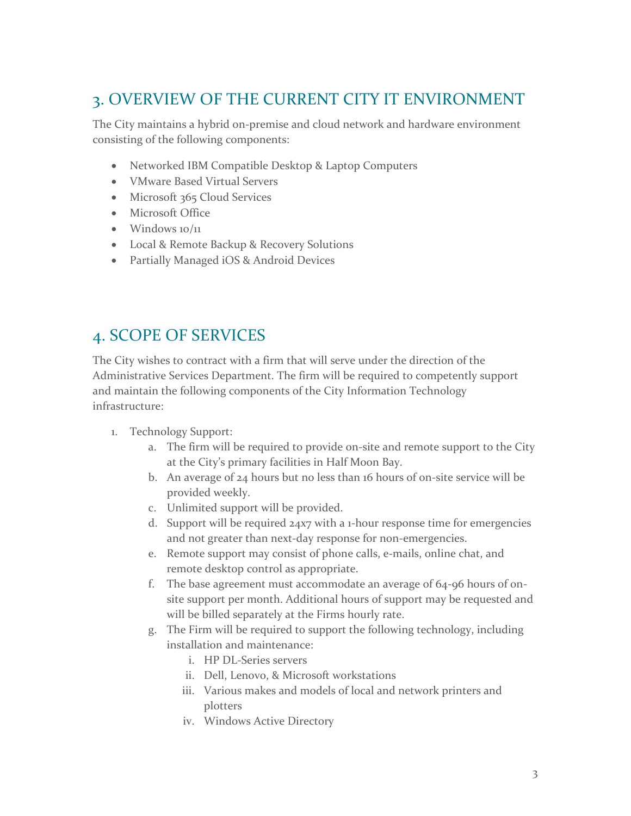#### 3. OVERVIEW OF THE CURRENT CITY IT ENVIRONMENT

The City maintains a hybrid on-premise and cloud network and hardware environment consisting of the following components:

- Networked IBM Compatible Desktop & Laptop Computers
- VMware Based Virtual Servers
- Microsoft 365 Cloud Services
- Microsoft Office
- $\bullet$  Windows  $10/11$
- Local & Remote Backup & Recovery Solutions
- Partially Managed iOS & Android Devices

## 4. SCOPE OF SERVICES

The City wishes to contract with a firm that will serve under the direction of the Administrative Services Department. The firm will be required to competently support and maintain the following components of the City Information Technology infrastructure:

- 1. Technology Support:
	- a. The firm will be required to provide on-site and remote support to the City at the City's primary facilities in Half Moon Bay.
	- b. An average of 24 hours but no less than 16 hours of on-site service will be provided weekly.
	- c. Unlimited support will be provided.
	- d. Support will be required  $24x7$  with a 1-hour response time for emergencies and not greater than next-day response for non-emergencies.
	- e. Remote support may consist of phone calls, e-mails, online chat, and remote desktop control as appropriate.
	- f. The base agreement must accommodate an average of 64-96 hours of onsite support per month. Additional hours of support may be requested and will be billed separately at the Firms hourly rate.
	- g. The Firm will be required to support the following technology, including installation and maintenance:
		- i. HP DL-Series servers
		- ii. Dell, Lenovo, & Microsoft workstations
		- iii. Various makes and models of local and network printers and plotters
		- iv. Windows Active Directory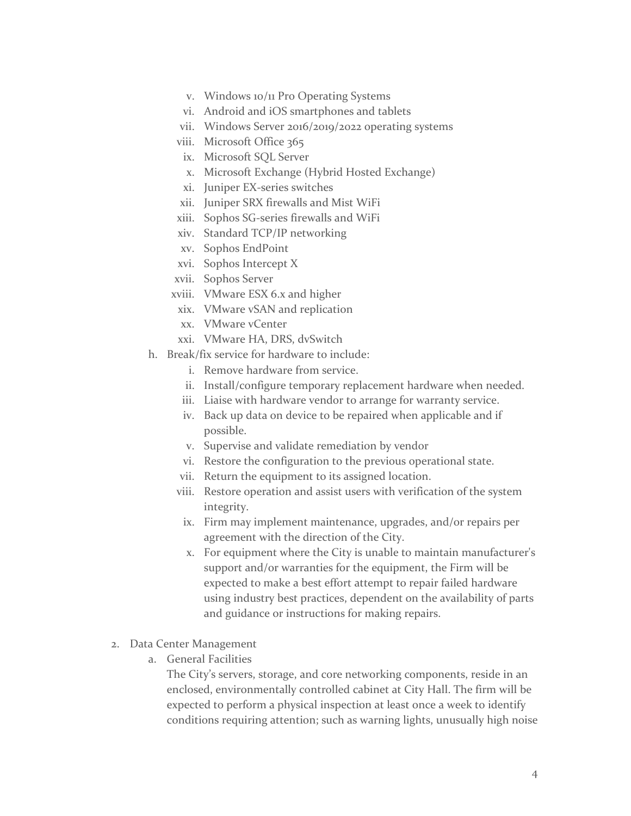- v. Windows 10/11 Pro Operating Systems
- vi. Android and iOS smartphones and tablets
- vii. Windows Server 2016/2019/2022 operating systems
- viii. Microsoft Office 365
	- ix. Microsoft SQL Server
	- x. Microsoft Exchange (Hybrid Hosted Exchange)
- xi. Juniper EX-series switches
- xii. Juniper SRX firewalls and Mist WiFi
- xiii. Sophos SG-series firewalls and WiFi
- xiv. Standard TCP/IP networking
- xv. Sophos EndPoint
- xvi. Sophos Intercept X
- xvii. Sophos Server
- xviii. VMware ESX 6.x and higher
- xix. VMware vSAN and replication
- xx. VMware vCenter
- xxi. VMware HA, DRS, dvSwitch
- h. Break/fix service for hardware to include:
	- i. Remove hardware from service.
	- ii. Install/configure temporary replacement hardware when needed.
	- iii. Liaise with hardware vendor to arrange for warranty service.
	- iv. Back up data on device to be repaired when applicable and if possible.
	- v. Supervise and validate remediation by vendor
	- vi. Restore the configuration to the previous operational state.
	- vii. Return the equipment to its assigned location.
	- viii. Restore operation and assist users with verification of the system integrity.
	- ix. Firm may implement maintenance, upgrades, and/or repairs per agreement with the direction of the City.
	- x. For equipment where the City is unable to maintain manufacturer's support and/or warranties for the equipment, the Firm will be expected to make a best effort attempt to repair failed hardware using industry best practices, dependent on the availability of parts and guidance or instructions for making repairs.
- 2. Data Center Management
	- a. General Facilities

The City's servers, storage, and core networking components, reside in an enclosed, environmentally controlled cabinet at City Hall. The firm will be expected to perform a physical inspection at least once a week to identify conditions requiring attention; such as warning lights, unusually high noise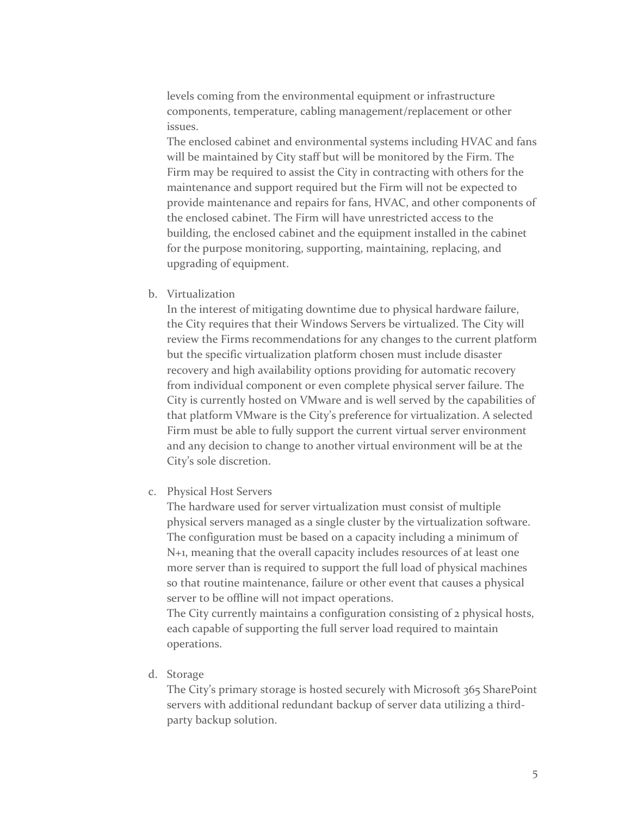levels coming from the environmental equipment or infrastructure components, temperature, cabling management/replacement or other issues.

The enclosed cabinet and environmental systems including HVAC and fans will be maintained by City staff but will be monitored by the Firm. The Firm may be required to assist the City in contracting with others for the maintenance and support required but the Firm will not be expected to provide maintenance and repairs for fans, HVAC, and other components of the enclosed cabinet. The Firm will have unrestricted access to the building, the enclosed cabinet and the equipment installed in the cabinet for the purpose monitoring, supporting, maintaining, replacing, and upgrading of equipment.

b. Virtualization

In the interest of mitigating downtime due to physical hardware failure, the City requires that their Windows Servers be virtualized. The City will review the Firms recommendations for any changes to the current platform but the specific virtualization platform chosen must include disaster recovery and high availability options providing for automatic recovery from individual component or even complete physical server failure. The City is currently hosted on VMware and is well served by the capabilities of that platform VMware is the City's preference for virtualization. A selected Firm must be able to fully support the current virtual server environment and any decision to change to another virtual environment will be at the City's sole discretion.

c. Physical Host Servers

The hardware used for server virtualization must consist of multiple physical servers managed as a single cluster by the virtualization software. The configuration must be based on a capacity including a minimum of N+1, meaning that the overall capacity includes resources of at least one more server than is required to support the full load of physical machines so that routine maintenance, failure or other event that causes a physical server to be offline will not impact operations.

The City currently maintains a configuration consisting of 2 physical hosts, each capable of supporting the full server load required to maintain operations.

d. Storage

The City's primary storage is hosted securely with Microsoft 365 SharePoint servers with additional redundant backup of server data utilizing a thirdparty backup solution.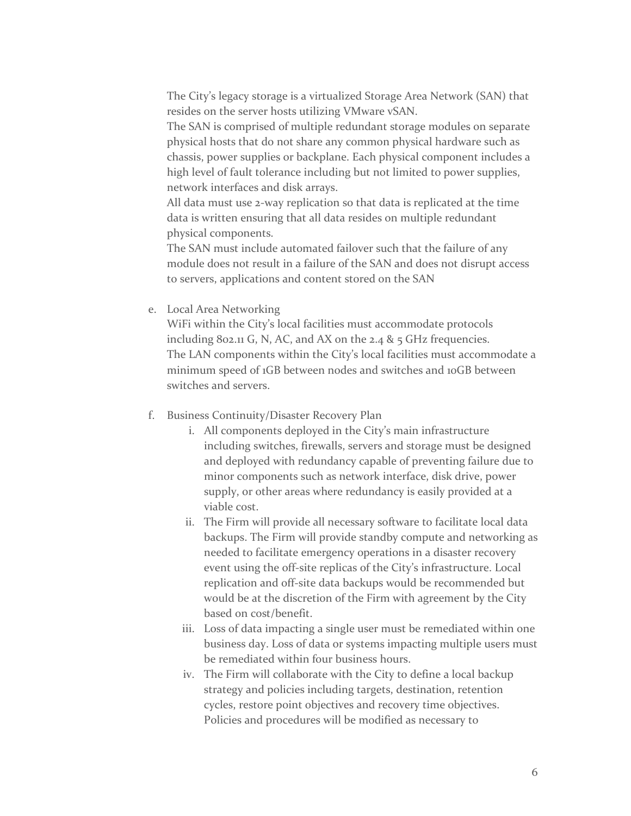The City's legacy storage is a virtualized Storage Area Network (SAN) that resides on the server hosts utilizing VMware vSAN.

The SAN is comprised of multiple redundant storage modules on separate physical hosts that do not share any common physical hardware such as chassis, power supplies or backplane. Each physical component includes a high level of fault tolerance including but not limited to power supplies, network interfaces and disk arrays.

All data must use 2-way replication so that data is replicated at the time data is written ensuring that all data resides on multiple redundant physical components.

The SAN must include automated failover such that the failure of any module does not result in a failure of the SAN and does not disrupt access to servers, applications and content stored on the SAN

e. Local Area Networking

WiFi within the City's local facilities must accommodate protocols including 802.11 G, N, AC, and AX on the 2.4 & 5 GHz frequencies. The LAN components within the City's local facilities must accommodate a minimum speed of 1GB between nodes and switches and 10GB between switches and servers.

#### f. Business Continuity/Disaster Recovery Plan

- i. All components deployed in the City's main infrastructure including switches, firewalls, servers and storage must be designed and deployed with redundancy capable of preventing failure due to minor components such as network interface, disk drive, power supply, or other areas where redundancy is easily provided at a viable cost.
- ii. The Firm will provide all necessary software to facilitate local data backups. The Firm will provide standby compute and networking as needed to facilitate emergency operations in a disaster recovery event using the off-site replicas of the City's infrastructure. Local replication and off-site data backups would be recommended but would be at the discretion of the Firm with agreement by the City based on cost/benefit.
- iii. Loss of data impacting a single user must be remediated within one business day. Loss of data or systems impacting multiple users must be remediated within four business hours.
- iv. The Firm will collaborate with the City to define a local backup strategy and policies including targets, destination, retention cycles, restore point objectives and recovery time objectives. Policies and procedures will be modified as necessary to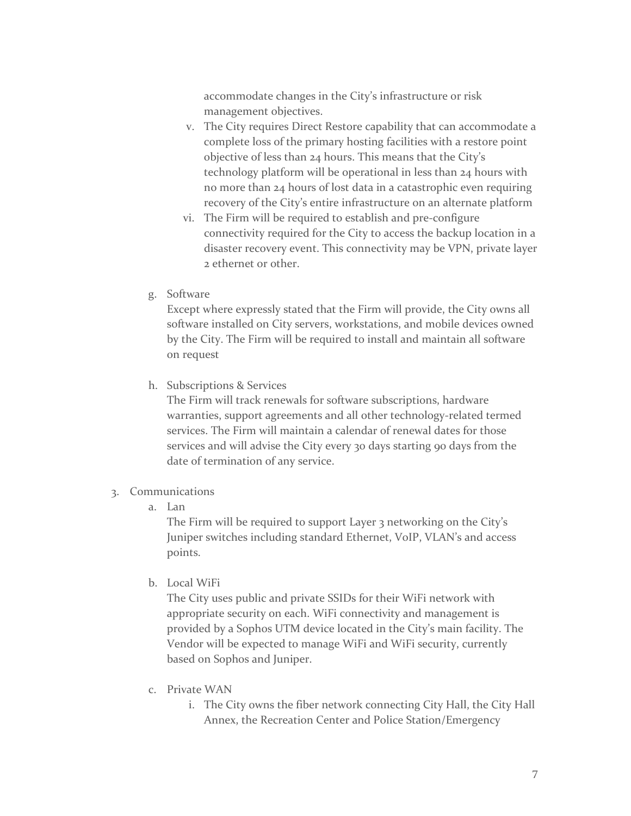accommodate changes in the City's infrastructure or risk management objectives.

- v. The City requires Direct Restore capability that can accommodate a complete loss of the primary hosting facilities with a restore point objective of less than 24 hours. This means that the City's technology platform will be operational in less than 24 hours with no more than 24 hours of lost data in a catastrophic even requiring recovery of the City's entire infrastructure on an alternate platform
- vi. The Firm will be required to establish and pre-configure connectivity required for the City to access the backup location in a disaster recovery event. This connectivity may be VPN, private layer 2 ethernet or other.
- g. Software

Except where expressly stated that the Firm will provide, the City owns all software installed on City servers, workstations, and mobile devices owned by the City. The Firm will be required to install and maintain all software on request

h. Subscriptions & Services

The Firm will track renewals for software subscriptions, hardware warranties, support agreements and all other technology-related termed services. The Firm will maintain a calendar of renewal dates for those services and will advise the City every 30 days starting 90 days from the date of termination of any service.

#### 3. Communications

a. Lan

The Firm will be required to support Layer 3 networking on the City's Juniper switches including standard Ethernet, VoIP, VLAN's and access points.

b. Local WiFi

The City uses public and private SSIDs for their WiFi network with appropriate security on each. WiFi connectivity and management is provided by a Sophos UTM device located in the City's main facility. The Vendor will be expected to manage WiFi and WiFi security, currently based on Sophos and Juniper.

- c. Private WAN
	- i. The City owns the fiber network connecting City Hall, the City Hall Annex, the Recreation Center and Police Station/Emergency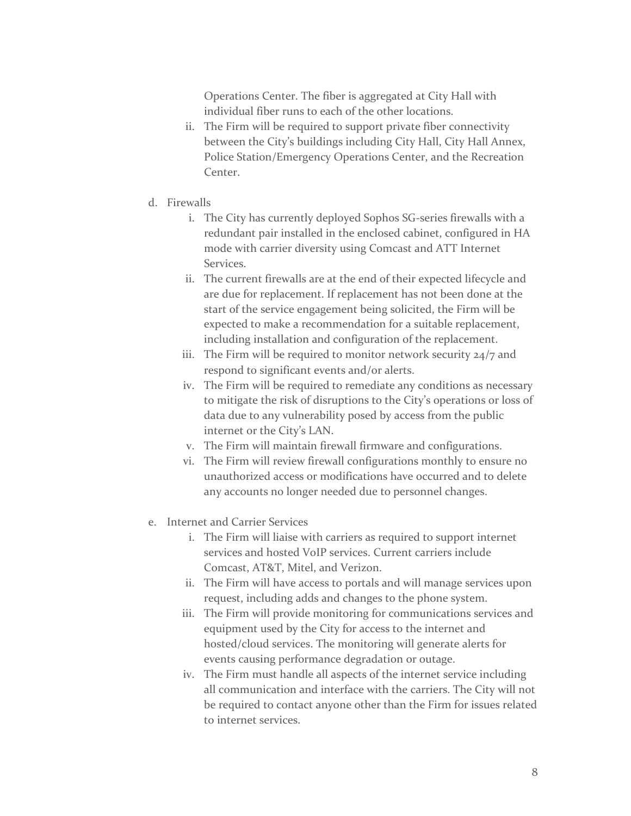Operations Center. The fiber is aggregated at City Hall with individual fiber runs to each of the other locations.

- ii. The Firm will be required to support private fiber connectivity between the City's buildings including City Hall, City Hall Annex, Police Station/Emergency Operations Center, and the Recreation Center.
- d. Firewalls
	- i. The City has currently deployed Sophos SG-series firewalls with a redundant pair installed in the enclosed cabinet, configured in HA mode with carrier diversity using Comcast and ATT Internet Services.
	- ii. The current firewalls are at the end of their expected lifecycle and are due for replacement. If replacement has not been done at the start of the service engagement being solicited, the Firm will be expected to make a recommendation for a suitable replacement, including installation and configuration of the replacement.
	- iii. The Firm will be required to monitor network security 24/7 and respond to significant events and/or alerts.
	- iv. The Firm will be required to remediate any conditions as necessary to mitigate the risk of disruptions to the City's operations or loss of data due to any vulnerability posed by access from the public internet or the City's LAN.
	- v. The Firm will maintain firewall firmware and configurations.
	- vi. The Firm will review firewall configurations monthly to ensure no unauthorized access or modifications have occurred and to delete any accounts no longer needed due to personnel changes.
- e. Internet and Carrier Services
	- i. The Firm will liaise with carriers as required to support internet services and hosted VoIP services. Current carriers include Comcast, AT&T, Mitel, and Verizon.
	- ii. The Firm will have access to portals and will manage services upon request, including adds and changes to the phone system.
	- iii. The Firm will provide monitoring for communications services and equipment used by the City for access to the internet and hosted/cloud services. The monitoring will generate alerts for events causing performance degradation or outage.
	- iv. The Firm must handle all aspects of the internet service including all communication and interface with the carriers. The City will not be required to contact anyone other than the Firm for issues related to internet services.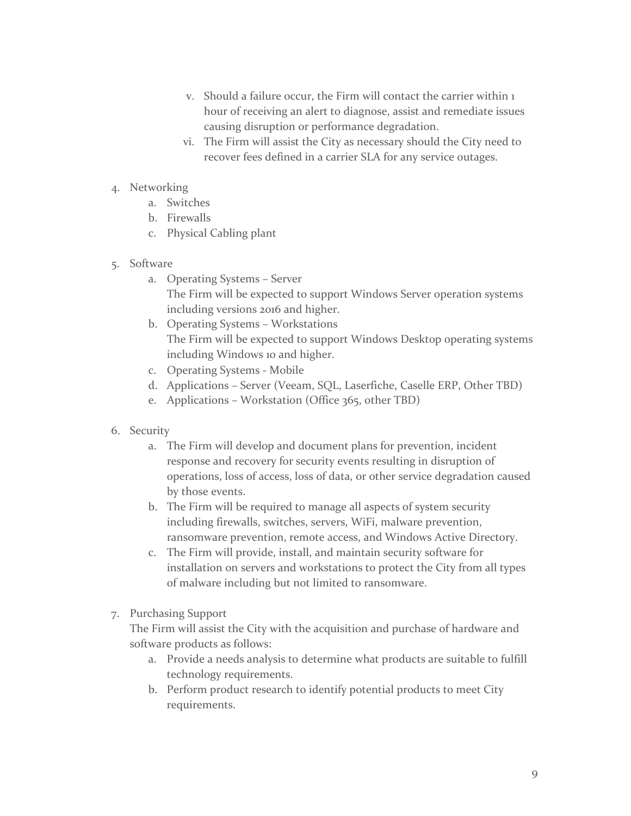- v. Should a failure occur, the Firm will contact the carrier within 1 hour of receiving an alert to diagnose, assist and remediate issues causing disruption or performance degradation.
- vi. The Firm will assist the City as necessary should the City need to recover fees defined in a carrier SLA for any service outages.
- 4. Networking
	- a. Switches
	- b. Firewalls
	- c. Physical Cabling plant
- 5. Software
	- a. Operating Systems Server The Firm will be expected to support Windows Server operation systems including versions 2016 and higher.
	- b. Operating Systems Workstations The Firm will be expected to support Windows Desktop operating systems including Windows 10 and higher.
	- c. Operating Systems Mobile
	- d. Applications Server (Veeam, SQL, Laserfiche, Caselle ERP, Other TBD)
	- e. Applications Workstation (Office 365, other TBD)
- 6. Security
	- a. The Firm will develop and document plans for prevention, incident response and recovery for security events resulting in disruption of operations, loss of access, loss of data, or other service degradation caused by those events.
	- b. The Firm will be required to manage all aspects of system security including firewalls, switches, servers, WiFi, malware prevention, ransomware prevention, remote access, and Windows Active Directory.
	- c. The Firm will provide, install, and maintain security software for installation on servers and workstations to protect the City from all types of malware including but not limited to ransomware.
- 7. Purchasing Support

The Firm will assist the City with the acquisition and purchase of hardware and software products as follows:

- a. Provide a needs analysis to determine what products are suitable to fulfill technology requirements.
- b. Perform product research to identify potential products to meet City requirements.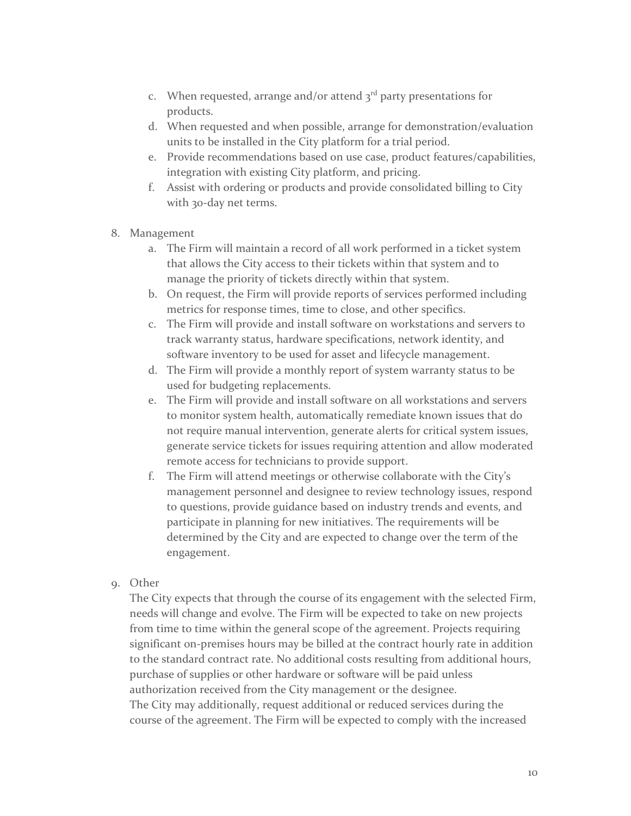- c. When requested, arrange and/or attend  $3<sup>rd</sup>$  party presentations for products.
- d. When requested and when possible, arrange for demonstration/evaluation units to be installed in the City platform for a trial period.
- e. Provide recommendations based on use case, product features/capabilities, integration with existing City platform, and pricing.
- f. Assist with ordering or products and provide consolidated billing to City with 30-day net terms.
- 8. Management
	- a. The Firm will maintain a record of all work performed in a ticket system that allows the City access to their tickets within that system and to manage the priority of tickets directly within that system.
	- b. On request, the Firm will provide reports of services performed including metrics for response times, time to close, and other specifics.
	- c. The Firm will provide and install software on workstations and servers to track warranty status, hardware specifications, network identity, and software inventory to be used for asset and lifecycle management.
	- d. The Firm will provide a monthly report of system warranty status to be used for budgeting replacements.
	- e. The Firm will provide and install software on all workstations and servers to monitor system health, automatically remediate known issues that do not require manual intervention, generate alerts for critical system issues, generate service tickets for issues requiring attention and allow moderated remote access for technicians to provide support.
	- f. The Firm will attend meetings or otherwise collaborate with the City's management personnel and designee to review technology issues, respond to questions, provide guidance based on industry trends and events, and participate in planning for new initiatives. The requirements will be determined by the City and are expected to change over the term of the engagement.
- 9. Other

The City expects that through the course of its engagement with the selected Firm, needs will change and evolve. The Firm will be expected to take on new projects from time to time within the general scope of the agreement. Projects requiring significant on-premises hours may be billed at the contract hourly rate in addition to the standard contract rate. No additional costs resulting from additional hours, purchase of supplies or other hardware or software will be paid unless authorization received from the City management or the designee. The City may additionally, request additional or reduced services during the course of the agreement. The Firm will be expected to comply with the increased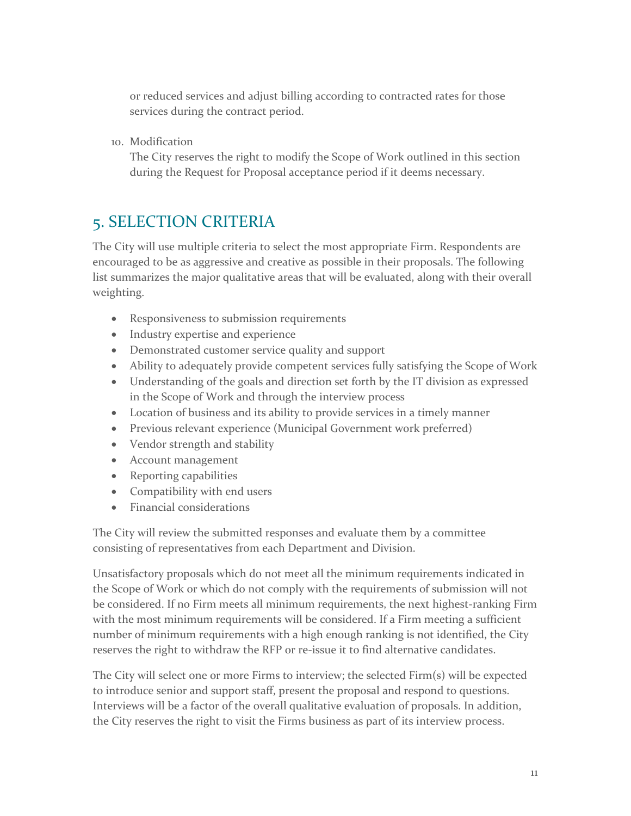or reduced services and adjust billing according to contracted rates for those services during the contract period.

10. Modification

The City reserves the right to modify the Scope of Work outlined in this section during the Request for Proposal acceptance period if it deems necessary.

## 5. SELECTION CRITERIA

The City will use multiple criteria to select the most appropriate Firm. Respondents are encouraged to be as aggressive and creative as possible in their proposals. The following list summarizes the major qualitative areas that will be evaluated, along with their overall weighting.

- Responsiveness to submission requirements
- Industry expertise and experience
- Demonstrated customer service quality and support
- Ability to adequately provide competent services fully satisfying the Scope of Work
- Understanding of the goals and direction set forth by the IT division as expressed in the Scope of Work and through the interview process
- Location of business and its ability to provide services in a timely manner
- Previous relevant experience (Municipal Government work preferred)
- Vendor strength and stability
- Account management
- Reporting capabilities
- Compatibility with end users
- Financial considerations

The City will review the submitted responses and evaluate them by a committee consisting of representatives from each Department and Division.

Unsatisfactory proposals which do not meet all the minimum requirements indicated in the Scope of Work or which do not comply with the requirements of submission will not be considered. If no Firm meets all minimum requirements, the next highest-ranking Firm with the most minimum requirements will be considered. If a Firm meeting a sufficient number of minimum requirements with a high enough ranking is not identified, the City reserves the right to withdraw the RFP or re-issue it to find alternative candidates.

The City will select one or more Firms to interview; the selected Firm(s) will be expected to introduce senior and support staff, present the proposal and respond to questions. Interviews will be a factor of the overall qualitative evaluation of proposals. In addition, the City reserves the right to visit the Firms business as part of its interview process.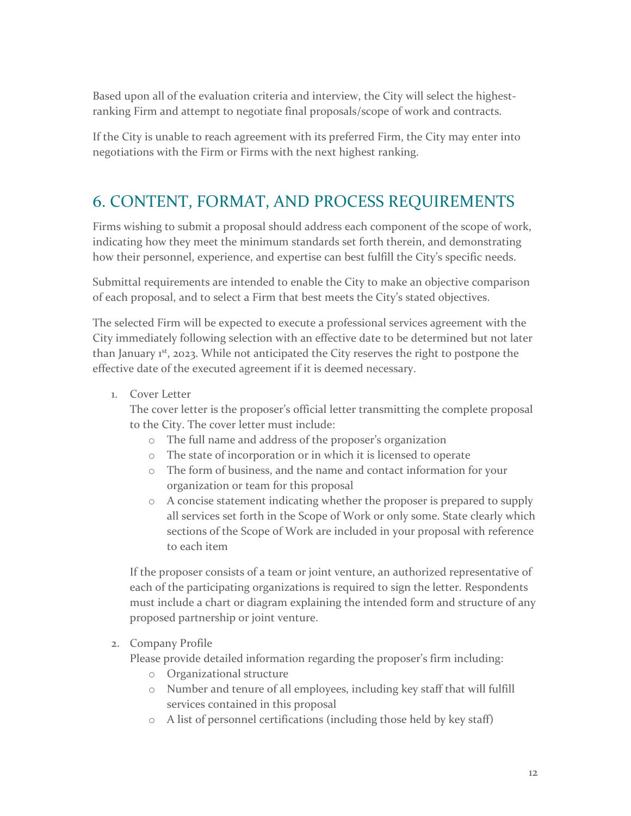Based upon all of the evaluation criteria and interview, the City will select the highestranking Firm and attempt to negotiate final proposals/scope of work and contracts.

If the City is unable to reach agreement with its preferred Firm, the City may enter into negotiations with the Firm or Firms with the next highest ranking.

## 6. CONTENT, FORMAT, AND PROCESS REQUIREMENTS

Firms wishing to submit a proposal should address each component of the scope of work, indicating how they meet the minimum standards set forth therein, and demonstrating how their personnel, experience, and expertise can best fulfill the City's specific needs.

Submittal requirements are intended to enable the City to make an objective comparison of each proposal, and to select a Firm that best meets the City's stated objectives.

The selected Firm will be expected to execute a professional services agreement with the City immediately following selection with an effective date to be determined but not later than January 1<sup>st</sup>, 2023. While not anticipated the City reserves the right to postpone the effective date of the executed agreement if it is deemed necessary.

1. Cover Letter

The cover letter is the proposer's official letter transmitting the complete proposal to the City. The cover letter must include:

- o The full name and address of the proposer's organization
- o The state of incorporation or in which it is licensed to operate
- o The form of business, and the name and contact information for your organization or team for this proposal
- o A concise statement indicating whether the proposer is prepared to supply all services set forth in the Scope of Work or only some. State clearly which sections of the Scope of Work are included in your proposal with reference to each item

If the proposer consists of a team or joint venture, an authorized representative of each of the participating organizations is required to sign the letter. Respondents must include a chart or diagram explaining the intended form and structure of any proposed partnership or joint venture.

#### 2. Company Profile

Please provide detailed information regarding the proposer's firm including:

- o Organizational structure
- o Number and tenure of all employees, including key staff that will fulfill services contained in this proposal
- o A list of personnel certifications (including those held by key staff)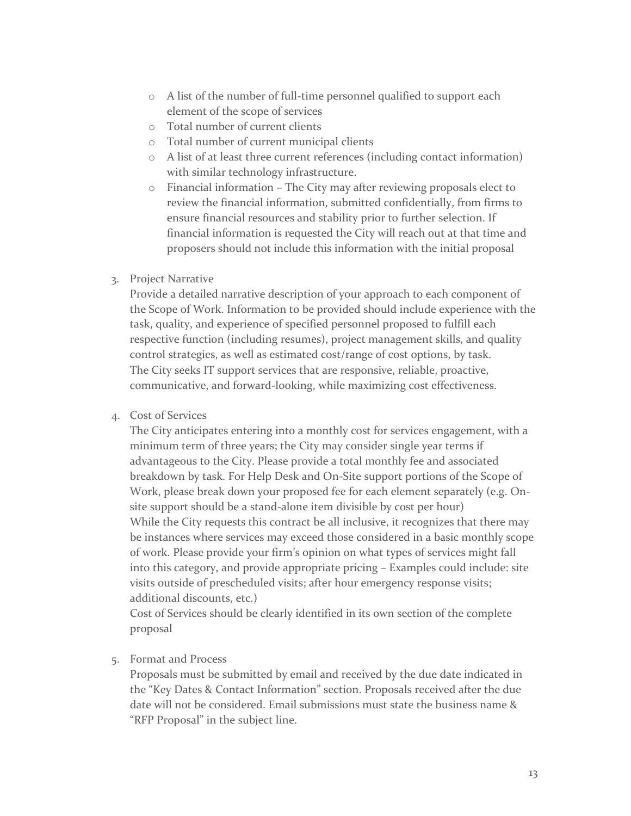- o A list of the number of full-time personnel qualified to support each element of the scope of services
- o Total number of current clients
- o Total number of current municipal clients
- o A list of at least three current references (including contact information) with similar technology infrastructure.
- o Financial information The City may after reviewing proposals elect to review the financial information, submitted confidentially, from firms to ensure financial resources and stability prior to further selection. If financial information is requested the City will reach out at that time and proposers should not include this information with the initial proposal

#### 3. Project Narrative

Provide a detailed narrative description of your approach to each component of the Scope of Work. Information to be provided should include experience with the task, quality, and experience of specified personnel proposed to fulfill each respective function (including resumes), project management skills, and quality control strategies, as well as estimated cost/range of cost options, by task. The City seeks IT support services that are responsive, reliable, proactive, communicative, and forward-looking, while maximizing cost effectiveness.

#### 4. Cost of Services

The City anticipates entering into a monthly cost for services engagement, with a minimum term of three years; the City may consider single year terms if advantageous to the City. Please provide a total monthly fee and associated breakdown by task. For Help Desk and On-Site support portions of the Scope of Work, please break down your proposed fee for each element separately (e.g. Onsite support should be a stand-alone item divisible by cost per hour) While the City requests this contract be all inclusive, it recognizes that there may be instances where services may exceed those considered in a basic monthly scope of work. Please provide your firm's opinion on what types of services might fall into this category, and provide appropriate pricing – Examples could include: site visits outside of prescheduled visits; after hour emergency response visits; additional discounts, etc.)

Cost of Services should be clearly identified in its own section of the complete proposal

#### 5. Format and Process

Proposals must be submitted by email and received by the due date indicated in the "Key Dates & Contact Information" section. Proposals received after the due date will not be considered. Email submissions must state the business name & "RFP Proposal" in the subject line.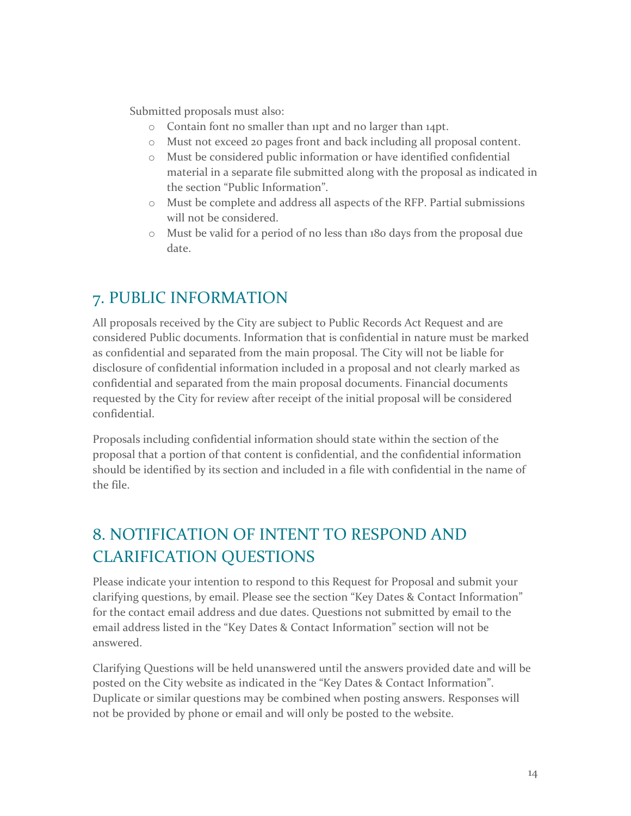Submitted proposals must also:

- o Contain font no smaller than 11pt and no larger than 14pt.
- o Must not exceed 20 pages front and back including all proposal content.
- o Must be considered public information or have identified confidential material in a separate file submitted along with the proposal as indicated in the section "Public Information".
- o Must be complete and address all aspects of the RFP. Partial submissions will not be considered.
- o Must be valid for a period of no less than 180 days from the proposal due date.

## 7. PUBLIC INFORMATION

All proposals received by the City are subject to Public Records Act Request and are considered Public documents. Information that is confidential in nature must be marked as confidential and separated from the main proposal. The City will not be liable for disclosure of confidential information included in a proposal and not clearly marked as confidential and separated from the main proposal documents. Financial documents requested by the City for review after receipt of the initial proposal will be considered confidential.

Proposals including confidential information should state within the section of the proposal that a portion of that content is confidential, and the confidential information should be identified by its section and included in a file with confidential in the name of the file.

## 8. NOTIFICATION OF INTENT TO RESPOND AND CLARIFICATION QUESTIONS

Please indicate your intention to respond to this Request for Proposal and submit your clarifying questions, by email. Please see the section "Key Dates & Contact Information" for the contact email address and due dates. Questions not submitted by email to the email address listed in the "Key Dates & Contact Information" section will not be answered.

Clarifying Questions will be held unanswered until the answers provided date and will be posted on the City website as indicated in the "Key Dates & Contact Information". Duplicate or similar questions may be combined when posting answers. Responses will not be provided by phone or email and will only be posted to the website.